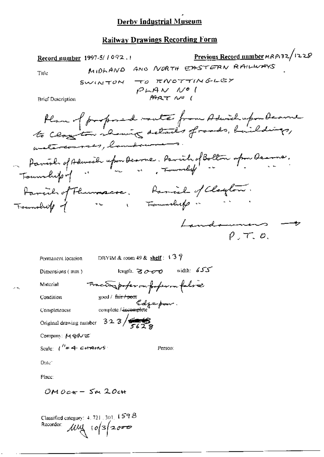### Railway Drawings Recording Form

Record number 1997-5/1092.1 Previous Record number MRP132/I22S MIDLAND AND NORTH EASTERN RAILWAYS Title .  $\mathcal{S}\mathcal{W}\left(\mathcal{N}+o\right)\mathcal{H}$  to report the GLEX  $P+AV-VP$ Title MIDRAND ANO NOUTH CHEY<br>SWINTON TO TENOTTINGLEY<br>PLAN NO !<br>ABRT NO (<br>Home of proponed multe from Adwichupon Deanne<br>to Cloy to showing details of roads, buildings, aute from Howechupon beau watercourses, landswere Parish of Adwich upon Dearne. Parish of Bolton upon Dearne.<br>Foundito of " " " " " rowelly " Farcules Faumacie. Family of Company *Landonne*  $\rho$ ,  $\tau$ ,  $\varphi$ . Permanent location mun DBYIM & room 49 & shelf;  $\sqrt{3}$  ? Dimensions (mm)  $\log h.$  3  $\sigma$ - $\sigma$  midth: 655

Material Frace Sporter on forfer on fuller

Completeness complete / **incomplete**  $\blacksquare$ 

Original drawing number  $323/\sqrt{229}$ 

Company: Morve

Scale:  $1^{H} = 4$  c+ $4400\%$  Person:

Date<sup>®</sup>

Place:

 $OMO$   $C_{\text{eff}}$  -  $S_{\text{M}}$  20 $c_{\text{H}}$ 

Condition goud <del>fair/ pow</del>

Classified category:  $4, 721, 301, 159B$ Recorder  $\mu$ uy 10/3/2000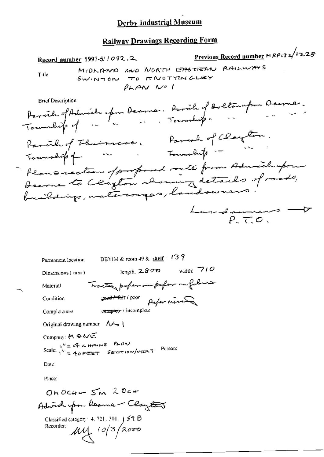# **Railway Drawings Recording Form**

Title

Previous Record number  $HRP$ 132/1228 Record number 1997-5/1092.2 MIDRANO AND NORTH EASTERN RAILWAYS SWINTON TO FENOTTINGLEY  $P<sub>AA</sub> \sim 1$ **Brief Description**  $\epsilon = \ell$   $\Omega_{\epsilon}$  $\mathbf{a}$ 

| DBYIM & room 49 & shelf: $137$<br>Permanent location                                             |
|--------------------------------------------------------------------------------------------------|
| width: $710$<br>length, $2800$<br>Dimensions (mm)                                                |
| having profer on pofor on follows<br>Material                                                    |
| pefer ning<br>go <del>ed / fai</del> r / poor<br>Condition                                       |
| complete / incomplete<br>Completeness                                                            |
| Original drawing number $\mathcal{N} \rightarrow 1$                                              |
| Company: M のんど<br>Scale: $1'' = 4$ c HANS PLAN<br>Scale: $1'' = 40$ FEET SECTION/VERT<br>Person: |
| Date:                                                                                            |
| Place:                                                                                           |
| ONDCH- $\leq m$ 20cm                                                                             |
| Adwich upon boarne - Clay <del>ley</del>                                                         |
| Classified category: $4.721.301.$ $\uparrow$ 59 $\upbeta$                                        |
| Recorder:<br>$\mu$ y 10/3/2000                                                                   |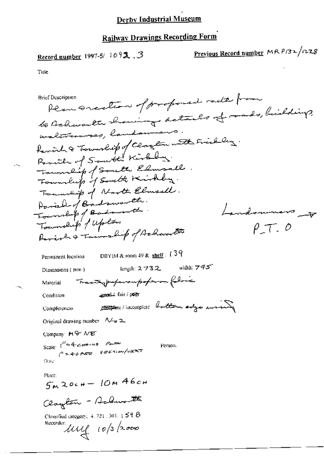# **Railway Drawings Recording Form**

# Record number 1997-5/ 1092.3

Previous Record number MR P132/1228

Title

Plan sucetion of proposed rade from **Brief Description** to Achwardte showing details of roads, buildings, waltraures, landamiens having township of Clayton with Frichley. Township of South Elmsall. Tommitted of North Elmsell. Paral of Badsworth. Township of Badsworth Landonners to  $\rho \tau$ ,  $\rho$ Parish & Township of Achwardts DBYIM & room 49 & shelf:  $139$ Permanent location length: 2/73.2. width:  $745$ Dimensions (mm) Tracing preparampoperon follow Material gend. fair / peer Condition complete / incomplete battom edge moing Completeness Original drawing number  $\sqrt{4}$  2 Company MO ME Scale:  $1^{H} = 4$  cannot PLAN<br> $1^{H} = 40$  per section/vent Person. (Date) Place:  $5m20cm - 10m46cm$ Clayton - Achwarth Classified category:  $4.721$ , 301,  $\sqrt{5}$   $\theta$ Recorder: Ull 10/3/2000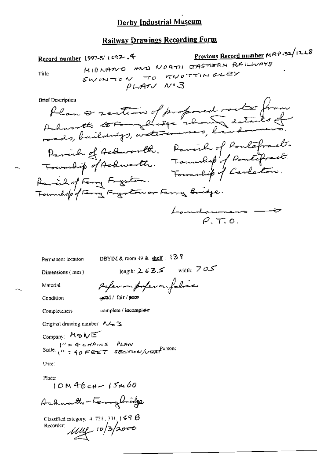### **Railway Drawings Recording Form**

Previous Record number MRP+32/1228 Record number 1997-5/ (c92.4 MIDLAND AND NORTH EASTERN RAILWAYS SWINTON TO RNOTTINGLEY Title  $\rho_{LATV}$   $N^{\circ}3$ 

**Brief Description** 

Plan a section of proposed racter from Darinh of Achwarth. Parish of Pontafract.<br>Township of Achwarth. Township of Bantafract.<br>Parish of Fang Fryston. Foundip of Carlaton. Township of Fanny Fregaton or Ferry Bridge. Landouners --- $\varphi$   $\tau$ ,  $\varphi$ .

DBYIM & room 49 & shelf: 139 Permanent location

Dimensions (mm)

length:  $2.635$  width:  $7.05$ 

Material

paper on poper on fabric coad / fair / pour

Condition

Completeness

complete / incomplete

Original drawing number  $\Lambda \rightarrow \mathbb{R}$ 

Company: MENE  $V' = 4cHAnsS$  PLAN<br>Scale:  $\mu = 40$  FEET SECTION/VERT PUSSON.

 $D$  the  $\Gamma$ 

Place:

 $10M46cH - 15M60$ 

Acharacthe-Terry bridge

Classified category, 4, 721, 301,  $\vert$   $\leq$   $\beta$   $\beta$ Recorder:  $\mu\mu$  10/3/2000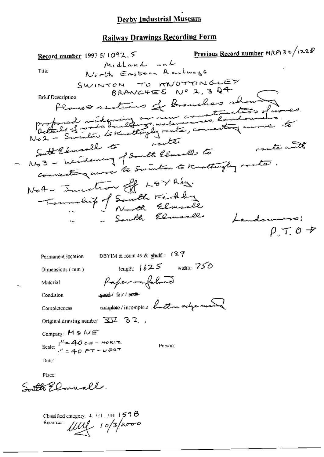## **Railway Drawings Recording Form**

Previous Record number  $MRP(3z/(228))$ Record number 1997-5/1092.5 Midland and North Enstern Raulways Title SWINTON TO KNOTTINGLEY BRANCHES Nº 2, 3 Q4 **Brief Description** Planes sections of Branches show Professed unidensity and new constantino of works South Elmsell to pout Elmsell to route with connecting were to Swinton to Knothingly roads. Not- Investion off LOYRES. Township of Santh Kirkley South Elmoall Landown  $\rho \tau$  o + DBYIM & room 49 & shelf:  $137$ Permanent location

length:  $1625$  width: 750 Dimensions (mm) faper on fabric geed/fair/peop-Condition complete/incomplete bottom actre messer Completeness Original drawing number XV 32, Company:  $M \otimes N \in$ Scale:  $1^{\prime\prime} = 40 \text{ cm} - \text{m} \text{cm}^{-1}$ <br> $1^{\prime\prime} = 40 \text{ F}^{-1} - \text{m} \text{cm}^{-1}$ Person:

Date:

Material

Place: Sutto Elmsall.

Classified category:  $4, 721, 301, 159$ Recorder:  $\mu$ 10/3/2000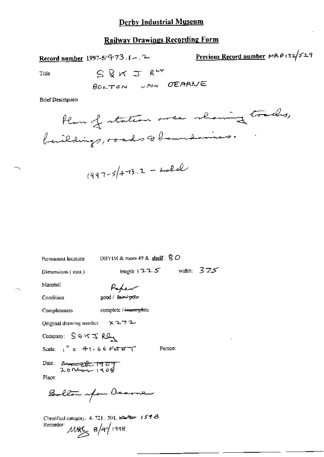### **Railway Drawings Recording Form**

Record number 1997-5/4-73 (1-12-

 $S$  &  $K$   $T$   $R$ <sup>LY</sup>

Previous Record number 
$$
MRP132/529
$$

Title

**Brief Description** 

$$
(997-5/473.2 - Lolel)
$$

Permanent location

DBYIM & room 49 & shelf: § O

Dimensions (mm)

Paper

Condition

Completeness

Material

complete /-incomplete

good / fair/poor

 $x272$ Original drawing number

Company: SOKJRQ

Scale:  $1'' = 41.66$  Ferry

Person:

length:  $1225$  width:  $375$ 

Date: Arenticle 1909

Place:

Bollon ufou Deame

Classified category: 4, 721, 301,  $\leftarrow$  + 159  $\beta$ Recorder:  $11446$   $8/4/1998$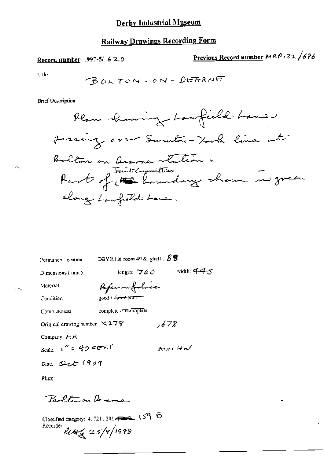# **Railway Drawings Recording Form**

Record number 1997-5/ 620

Previous Record number 
$$
HRP/32 / 696
$$

Title

**Brief Description** 



DBYIM & room 49 & shelf:  $83$ Permanent location length:  $760$  width:  $445$ Dimensions (mm) Paperonfolice Material good / <del>fair /</del> puor Condition complete / Theomplete Completeness Original drawing number  $\times$  27 $\%$ , 678 Company: Pt R Scale:  $1'' = 40$  FEET Person:  $HM$ Date: Qct (909 Place:

Boltonon Denne

Classified category: 4, 721, 301,  $\rightarrow$  159  $\%$ Recorder:  $\ell \ell \ell \ell \ell \leq 25/9/1998$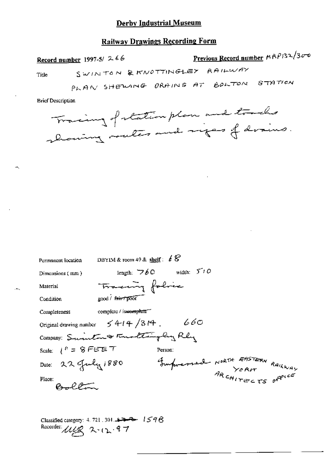### **Railway Drawings Recording Form**

| Record number 1997-5/ $2.66$                                               | Previous Record number MRP132/300 |
|----------------------------------------------------------------------------|-----------------------------------|
| SWINTON & KNOTTINGLEY RAILWAY<br>Title                                     |                                   |
| PLAN SHEWING ORAINS AT BOLTON                                              | STATICH                           |
| <b>Brief Description</b>                                                   |                                   |
| Tracing of station plan and tracks<br>abouting moules and sizes of drains. |                                   |

Permanent location DBYIM & room 49 & shelf:  $68$ length:  $\nabla \phi \mathbf{C}$  width:  $\nabla^{\dagger} \mathbf{C}$ Dimensions (mm) Tracing folice Material good / fair / poor Condition complete / incomplete Completeness Original drawing number  $5414/314$ . 660 Company: Swinten & Finaltingly Rly Scale:  $1^h = 8$  FEET Person: Impressed NORTH EASTERN RAILWAY Date: 22 July 1880 RAKWAY  $B = 20$ Place:

Classified category: 4, 721, 301,  $\rightarrow$   $\rightarrow$   $\rightarrow$   $1598$ Recorder: Mig 2.12.97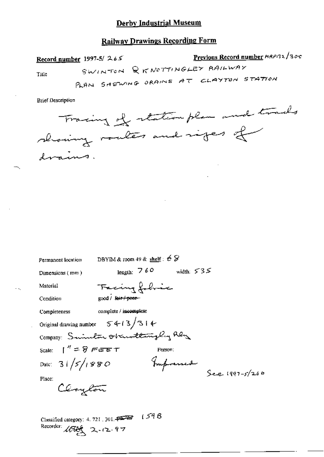## **Railway Drawings Recording Form**

Previous Record number HRP/32/300 Record number 1997-5/265 SWINTON QKNOTTINGLEY RAILWAY Title PLAN SHEWING ORAINS AT CLAYTON STATION

**Brief Description** 

Tracing of station plan and tracks showing roales and riges of drains.

Permanent location DBYIM & room 49 & shelf :  $68$ length:  $760$  width:  $535$ Dimensions  $(mn)$ Facing folice Material good / fair / poer-Condition complete / incomplete Completeness Original drawing number  $5413/314$ Company: Suineton Obunttingly Rly Scale:  $1'' = 8$  Feet T Person: Impremed Date:  $31/5/1880$  $See^{-1997-5/266}$ Place: Clayton Classified category: 4. 721, 301.

Recorder: 10000 2-12-97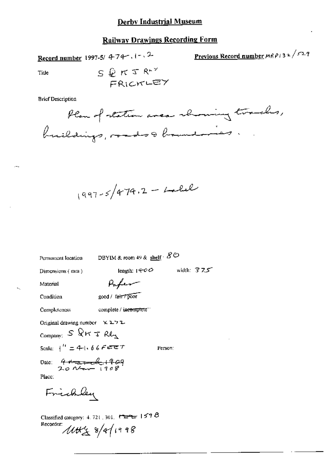# **Railway Drawings Recording Form**

Record number 1997-5/ 4-74 -. 1 - . 2-

Previous Record number  $MRP$  i 3 2  $\sqrt{527}$ 

Title

S 
$$
\bigoplus_{F} RT R^{\mu\nu}
$$
  
FRICKLEY

**Brief Description** 

$$
1997-5/474.2 - Lable
$$

Permanent location

DBYIM & room 49 & shelf  $\cdot$   $\mathcal{S}\oslash$ 

Dimensions (mm)

length: 1400 width: 375

Material

Parker

Condition

good / fair / poor

Completeness complete / incomplete"

Original drawing number  $\times$  2.72

Company:  $S \Omega r \tau R l_{\text{A}}$ 

Scale:  $\frac{1}{1}$  = 41.66FEET

Person:

Date: 4 August 1909

Place:

Frichley

Classified category: 4, 721, 301,  $\overline{C_2C_3}$  1598 Recorder:  $10048$  8/9/1998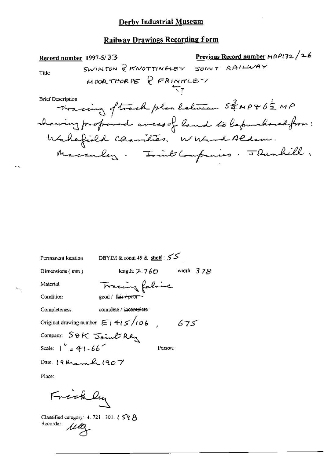# **Railway Drawings Recording Form**

| Permanent location     | DBYIM & room $49$ & shelf: $55$     |              |
|------------------------|-------------------------------------|--------------|
| Dimensions (mm)        | length: $2-760$                     | width: $378$ |
| Material               | Tracing fabric                      |              |
| Condition              | good / fair <del>/ poor -</del>     |              |
| Completeness           | complete / incomplete               |              |
|                        | Original drawing number $E/4/5/106$ | 675          |
| Company: SOK Joint Rly |                                     |              |
| Scale: $1'' = 41.66$   |                                     | Person:      |
| Date: 19 March 1907    |                                     |              |
| Place:                 |                                     |              |
| Frickly                |                                     |              |

Classified category: 4.721.301.159 B<br>Recorder:  $\mathcal{U}\mathcal{U}$ 

÷.

 $\omega_{\rm s}$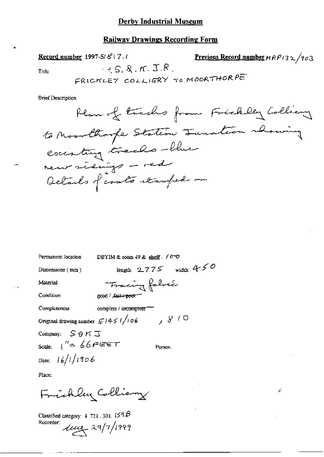## **Railway Drawings Recording Form**

Record number 1997-5/ & 17.1 Previous Record number  $HRP/32/703$  $-5.8.5.$ Title —ہ م

**Brief Description** 

| Permanent location                                 | DBYIM & room $49$ & shelf: $(0 - 0)$ |
|----------------------------------------------------|--------------------------------------|
| Dimensions (mm)                                    | length: $2775$ width: $450$          |
| Material                                           | Fracing folice                       |
| Condition                                          | good / Lair + poor                   |
| Completeness                                       | complete / incomplete                |
| Original drawing number $\mathcal{L}/451/\sqrt{6}$ | 7810                                 |
| Company: $S \otimes K \square$                     |                                      |
| scale: $1'' = 66$ FEET                             | Person:                              |
| Date: $16/1/1906$                                  |                                      |
|                                                    |                                      |

Place:

Frichlay Colliany

Classified category: 4.721, 301, 159B<br>Recorder:<br> $\sqrt{\mu_2}$  29/7/1999

 $\mathbf{x}^i$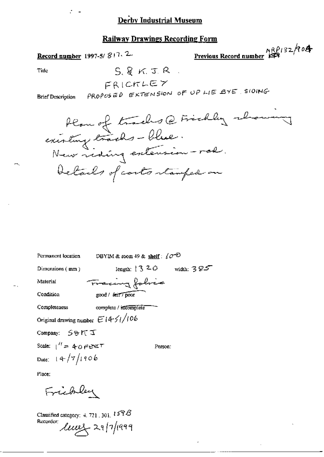#### **Railway Drawings Recording Form**

Record number 1997-5/817.2

 $R_{\text{R}}^{\text{R}}$   $R_{\text{R}}^{\text{R}}$   $R_{\text{R}}^{\text{R}}$   $R_{\text{R}}^{\text{R}}$   $R_{\text{R}}^{\text{R}}$   $R_{\text{R}}^{\text{R}}$   $R_{\text{R}}^{\text{R}}$   $R_{\text{R}}^{\text{R}}$   $R_{\text{R}}^{\text{R}}$   $R_{\text{R}}^{\text{R}}$   $R_{\text{R}}^{\text{R}}$   $R_{\text{R}}^{\text{R}}$   $R_{\text{R}}^{\text{R}}$   $R_{\text{R}}^{\text{R$ 

Title

 $S.8KJ.R.$ 

FRICKLEY PROPOSED EXTENSION OF UP LIE BYE, SIDING

**Brief Description** 

Plan of tracks @ Frickly rhowing Details of costs stamped on

| Permanent location                      | DBYIM & room 49 & shelf: $\sqrt{\sigma^2}$ |              |
|-----------------------------------------|--------------------------------------------|--------------|
| Dimensions $(mn)$                       | length: $\frac{1320}{20}$                  | width: $385$ |
| Material                                | Tracing folice                             |              |
| Condition                               | good / fair / poor                         |              |
| Completeness                            | complete / incomplete                      |              |
| Original drawing number $E1451/106$     |                                            |              |
| Company: S&KI                           |                                            |              |
| Scale: $1'' = 40$ $\epsilon$ exe $\tau$ | Person:                                    |              |
| Date: $14/7/1906$                       |                                            |              |

Place:

Frichley

Classified category: 4, 721, 301,  $159B$ Recorder:  $\text{Im} \chi$  29/7/1999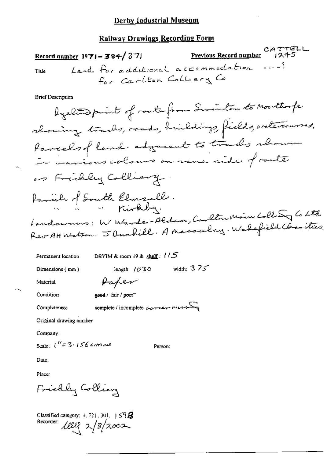## Railway Drawings Recording Form

CATTELL<br>Previous Record number 1245 Record number 1971 - 384/371 Land for additional accommodation  $-$ ? Tide for Carlton Colliery Co

**Brief Description** 

Permanent location

DBYIM & room  $49$  & shelf:  $115$ 

Paper

Dimensions (mm)

length:  $1030$  width:  $375$ 

Material

good / fair / poor Condition

Completeness

complete/incomplete somew nesser

Original drawing number

Company:

Scale:  $1''=3.156$  camins

Person:

Date:

Place:

Frickly Colling

Classified category:  $4, 721, 301, +59.6$ Recorder 1000 2/8/2002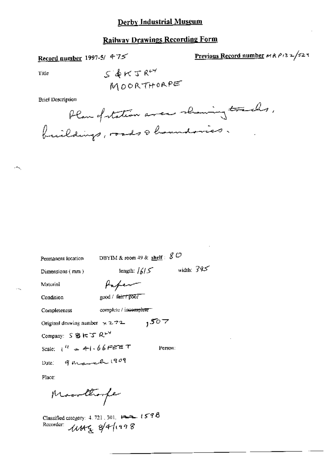# **Railway Drawings Recording Form**

Record number 1997-5/ 475

Previous Record number MAP132/529

Title

 $\ddot{\phantom{1}}$ 

 $\sim$   $\sim$ 

**Brief Description** 

| Permanent location                   | DBYIM & room 49 & $\frac{\text{shelf}}{\text{shelf}}$ : $\cancel{S}$ $\mathcal{O}$ |              |
|--------------------------------------|------------------------------------------------------------------------------------|--------------|
| Dimensions (mm)                      | length: $1615$                                                                     | width: $345$ |
| Material                             | fafer                                                                              |              |
| Condition                            | good / fair / poor                                                                 |              |
| Completeness                         | complete / incomplete.                                                             |              |
| Original drawing number $x \ge 72$ . | 1507                                                                               |              |
| Company: SBに丁 RLY                    |                                                                                    |              |
| Scale: $1^{11}$ = 41.66FEET          |                                                                                    | Person:      |
| Date: 9 March 1909                   |                                                                                    |              |
| Place:                               |                                                                                    |              |
| Moorthooper                          |                                                                                    |              |

Classified category: 4.721.301.  $\overline{124}$  1598<br>Recorder:  $\overline{124}$  8/4/1998

 $\ddot{\phantom{a}}$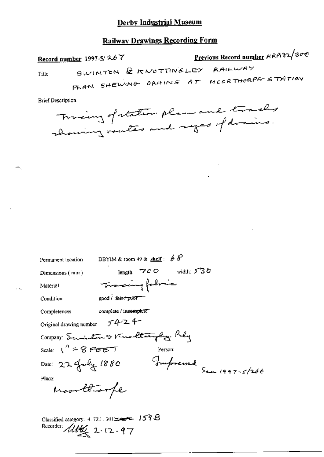### **Railway Drawings Recording Form**

Previous Record number HRP132/300 Record number 1997-5/267 SWINTON & KNOTTINGLEY RAILWAY Title PLAN SHEWING DRAINS AT MOORTHORPE STATION

**Brief Description** 

ж.,

Trainy of station plans and tracks

Permanent location DBYIM & room 49 & shelf :  $68^{\circ}$ length:  $700$  width:  $530$ Dimensions  $(mn)$ Tracing following Material good / fair + poor Condition complete / incomplete Completeness Original drawing number  $5424$ Company: Suis Len & Knocktaingly Rely Scale:  $1'' = 8$  FEET Person: Date: 22 July 1880 Jumpressed See 1997-5/266 Place: Monttonfe

Classified category: 4.721.301 - 1598 Recorder: *Alther* 2.12.97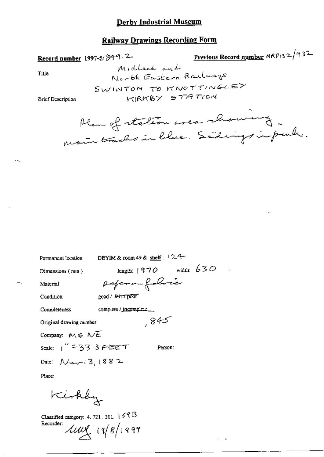## **Railway Drawings Recording Form**

# Record number 1997-5/84-9.2-

Previous Record number MRPi32/932

Title

Midland and North Eastern Railways SWINTON TO KNOTTINGLEY KIRKBY STATION

**Brief Description** 

Plan of station area showing.

| Permanent location                 | DBYIM & room 49 & shelf: $(24-$  |
|------------------------------------|----------------------------------|
| Dimensions $(mn)$                  | width: $630$<br>length: $1970$   |
| Material                           | poferom folice                   |
| Condition                          | good / <del>श्चिम / poor</del>   |
| Completeness                       | complete / $\text{incomplete}$ _ |
| Original drawing number            | , 845                            |
| Company: $M \oplus N \overline{E}$ |                                  |
| scale: ("=33.3 ABEて                | Person:                          |
| Date: $N_{\text{av}}(3,1882)$      |                                  |
| Place:                             |                                  |
| Kirkby                             |                                  |

Classified category: 4, 721, 301,  $\frac{1}{2}$   $\leq$   $\mathcal{C}$   $\mathcal{G}$ Recorder:  $\text{Im} \left( \frac{1}{2} \right)$  19/8/1999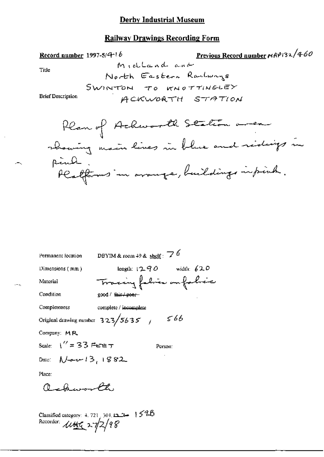# **Railway Drawings Recording Form**

Permanent location

\nDEFIN & room 49 & shelf: 76

\nDimensions (mm)

\nlength: 1290

\nMaterial

\nCondition

\ngood / first + power

\nCompleteness

\nCompleteness

\nCompleteness

\nOriginal drawing number 323/5635 / 566

\nComparing: MR

\nScale: 
$$
\sqrt{7} = 33
$$
 FETET

\nPerson:

\nDate:  $\sqrt{4}$  or 13, 1882.

\nPlace:

\nQuotoneed  $\sqrt{4}$ 

\nRec:

\nQuotoneed  $\sqrt{4}$ 

\nRec:

\nQuotoneed  $\sqrt{4}$ 

\nRec:

\nQuotoneed  $\sqrt{4}$ 

\nRec:

\nQuotoneed  $\sqrt{4}$ 

\nRec:

\nQuotoneed  $\sqrt{4}$ 

\nRec:

\nQuotoneed  $\sqrt{4}$ 

\nRec:

\nQuotoneed  $\sqrt{4}$ 

\nRec:

\nQuotoneed  $\sqrt{4}$ 

\nRec:

\nRec:

\nRec:

\nRec:

\nRec:

\nRec:

\nRec:

\nRec:

\nRec:

\nRec:

\nRec:

\nRec:

\nRec:

\nRec:

\nRec:

\nRec:

\nRec:

\nRec:

\nRec:

\nRec:

\nRec:

\nRec:

\nRec:

\nRec:

\nRec:

\nRec:

\nRec:

\nRec:

\nRec:

\nRec:

\nRec:

\nRec:

\nRec:

\nRec:

\nRec:

\nRec:

\nRec:

\nRec:

\nRec:

\nRec:

\nRec:

\nRec:

\nRec:

\nRec:

\nRec

Classified category: 4.721, 301, 123 1598<br>Recorder:  $\frac{\sqrt{460}}{27/2}$ 

 $\mathbb{H}^2$  or